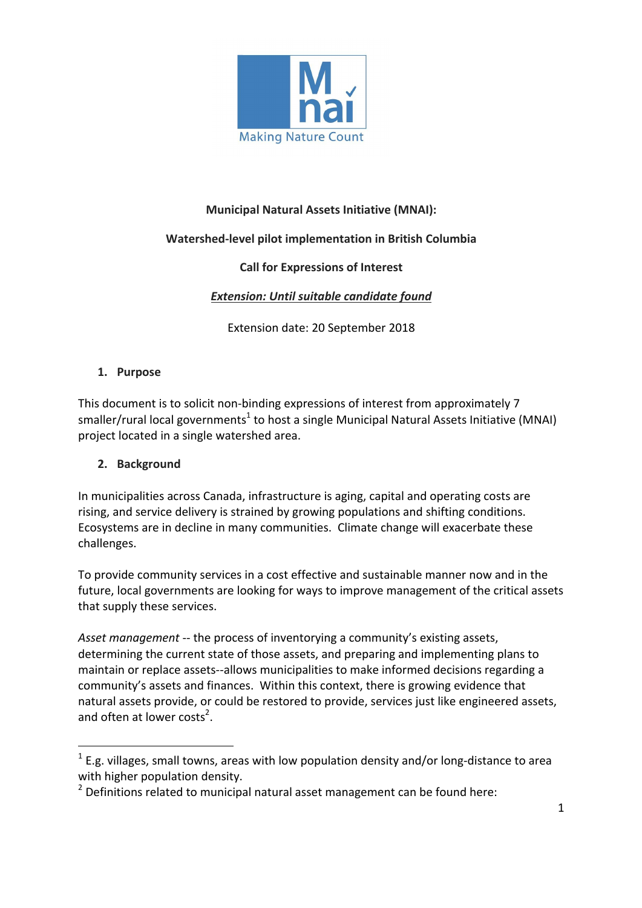

### **Municipal Natural Assets Initiative (MNAI):**

#### **Watershed-level pilot implementation in British Columbia**

#### **Call for Expressions of Interest**

#### **Extension: Until suitable candidate found**

Extension date: 20 September 2018

#### **1. Purpose**

This document is to solicit non-binding expressions of interest from approximately 7 smaller/rural local governments<sup>1</sup> to host a single Municipal Natural Assets Initiative (MNAI) project located in a single watershed area.

#### **2. Background**

 

In municipalities across Canada, infrastructure is aging, capital and operating costs are rising, and service delivery is strained by growing populations and shifting conditions. Ecosystems are in decline in many communities. Climate change will exacerbate these challenges. 

To provide community services in a cost effective and sustainable manner now and in the future, local governments are looking for ways to improve management of the critical assets that supply these services.

Asset management -- the process of inventorying a community's existing assets, determining the current state of those assets, and preparing and implementing plans to maintain or replace assets--allows municipalities to make informed decisions regarding a community's assets and finances. Within this context, there is growing evidence that natural assets provide, or could be restored to provide, services just like engineered assets, and often at lower costs<sup>2</sup>.

 $1$  E.g. villages, small towns, areas with low population density and/or long-distance to area with higher population density.

 $2$  Definitions related to municipal natural asset management can be found here: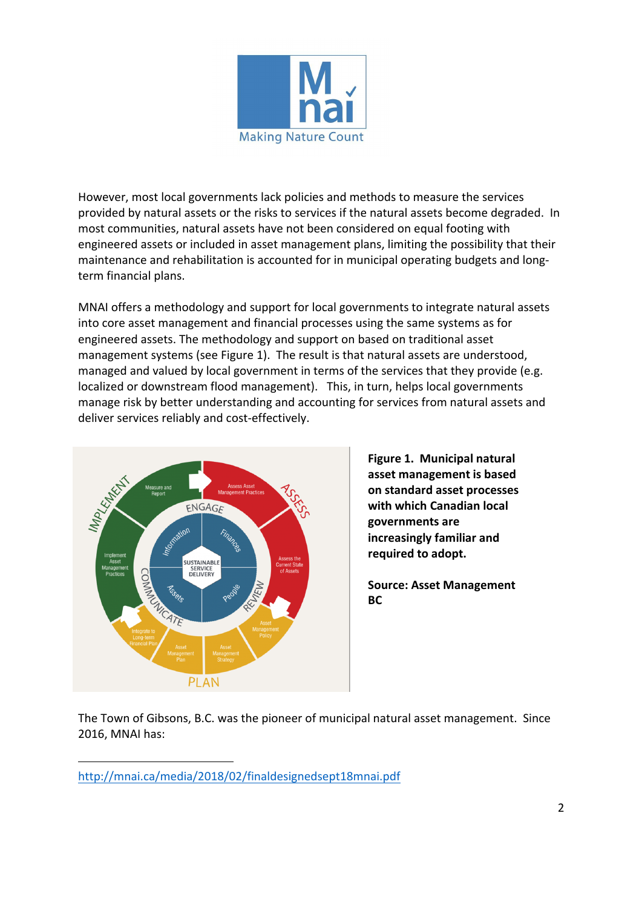

However, most local governments lack policies and methods to measure the services provided by natural assets or the risks to services if the natural assets become degraded. In most communities, natural assets have not been considered on equal footing with engineered assets or included in asset management plans, limiting the possibility that their maintenance and rehabilitation is accounted for in municipal operating budgets and longterm financial plans.

MNAI offers a methodology and support for local governments to integrate natural assets into core asset management and financial processes using the same systems as for engineered assets. The methodology and support on based on traditional asset management systems (see Figure 1). The result is that natural assets are understood, managed and valued by local government in terms of the services that they provide (e.g. localized or downstream flood management). This, in turn, helps local governments manage risk by better understanding and accounting for services from natural assets and deliver services reliably and cost-effectively.



 

**Figure 1. Municipal natural** asset management is based **on standard asset processes**  with which Canadian local **governments are increasingly familiar and** required to adopt.

**Source: Asset Management BC**

The Town of Gibsons, B.C. was the pioneer of municipal natural asset management. Since 2016, MNAI has:

http://mnai.ca/media/2018/02/finaldesignedsept18mnai.pdf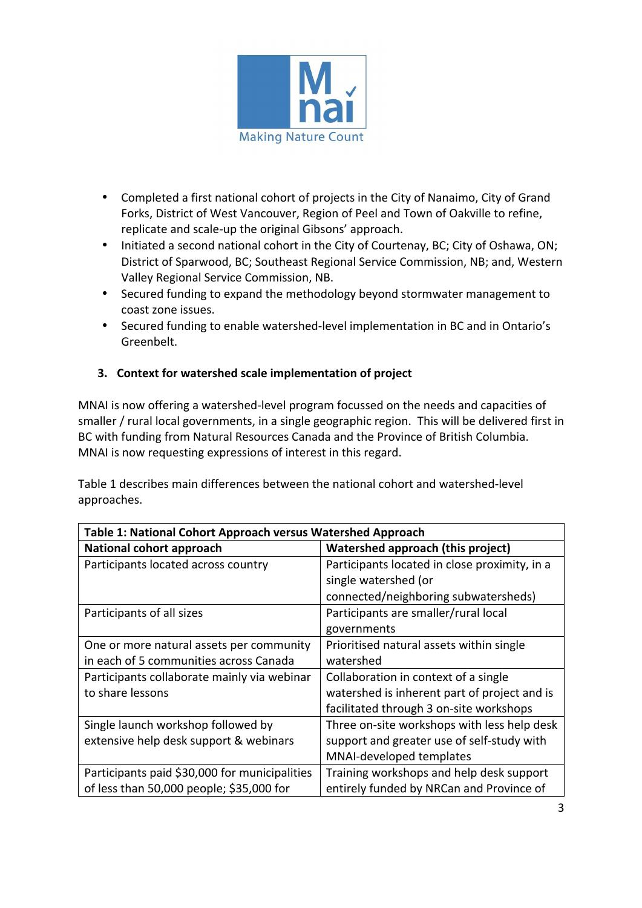

- Completed a first national cohort of projects in the City of Nanaimo, City of Grand Forks, District of West Vancouver, Region of Peel and Town of Oakville to refine, replicate and scale-up the original Gibsons' approach.
- Initiated a second national cohort in the City of Courtenay, BC; City of Oshawa, ON; District of Sparwood, BC; Southeast Regional Service Commission, NB; and, Western Valley Regional Service Commission, NB.
- Secured funding to expand the methodology beyond stormwater management to coast zone issues.
- Secured funding to enable watershed-level implementation in BC and in Ontario's Greenbelt.

# **3.** Context for watershed scale implementation of project

MNAI is now offering a watershed-level program focussed on the needs and capacities of smaller / rural local governments, in a single geographic region. This will be delivered first in BC with funding from Natural Resources Canada and the Province of British Columbia. MNAI is now requesting expressions of interest in this regard.

Table 1 describes main differences between the national cohort and watershed-level approaches.

| Table 1: National Cohort Approach versus Watershed Approach |                                               |
|-------------------------------------------------------------|-----------------------------------------------|
| <b>National cohort approach</b>                             | Watershed approach (this project)             |
| Participants located across country                         | Participants located in close proximity, in a |
|                                                             | single watershed (or                          |
|                                                             | connected/neighboring subwatersheds)          |
| Participants of all sizes                                   | Participants are smaller/rural local          |
|                                                             | governments                                   |
| One or more natural assets per community                    | Prioritised natural assets within single      |
| in each of 5 communities across Canada                      | watershed                                     |
| Participants collaborate mainly via webinar                 | Collaboration in context of a single          |
| to share lessons                                            | watershed is inherent part of project and is  |
|                                                             | facilitated through 3 on-site workshops       |
| Single launch workshop followed by                          | Three on-site workshops with less help desk   |
| extensive help desk support & webinars                      | support and greater use of self-study with    |
|                                                             | MNAI-developed templates                      |
| Participants paid \$30,000 for municipalities               | Training workshops and help desk support      |
| of less than 50,000 people; \$35,000 for                    | entirely funded by NRCan and Province of      |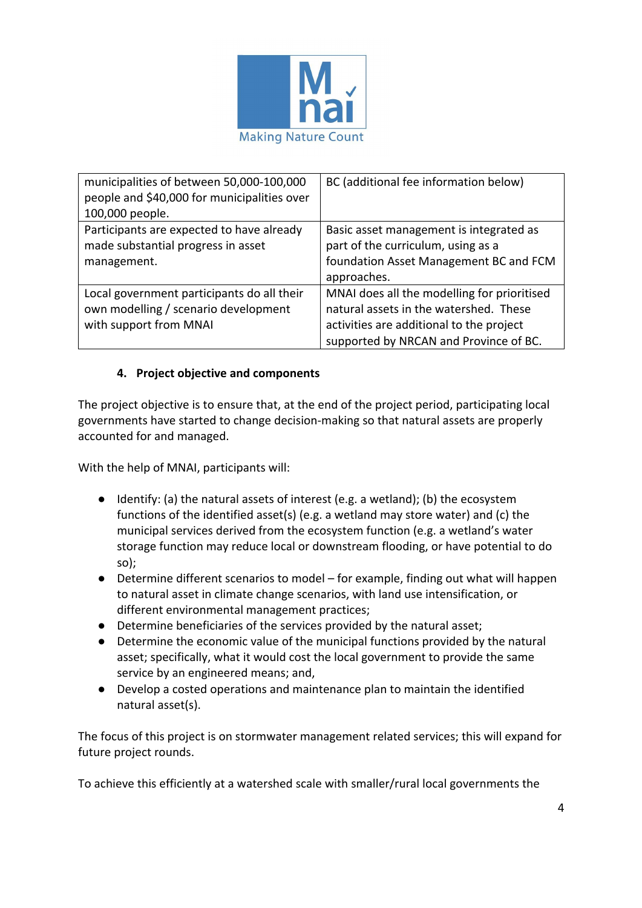

| municipalities of between 50,000-100,000<br>people and \$40,000 for municipalities over<br>100,000 people.   | BC (additional fee information below)                                                                                                                                       |
|--------------------------------------------------------------------------------------------------------------|-----------------------------------------------------------------------------------------------------------------------------------------------------------------------------|
| Participants are expected to have already<br>made substantial progress in asset<br>management.               | Basic asset management is integrated as<br>part of the curriculum, using as a<br>foundation Asset Management BC and FCM<br>approaches.                                      |
| Local government participants do all their<br>own modelling / scenario development<br>with support from MNAI | MNAI does all the modelling for prioritised<br>natural assets in the watershed. These<br>activities are additional to the project<br>supported by NRCAN and Province of BC. |

#### **4.** Project objective and components

The project objective is to ensure that, at the end of the project period, participating local governments have started to change decision-making so that natural assets are properly accounted for and managed.

With the help of MNAI, participants will:

- $\bullet$  Identify: (a) the natural assets of interest (e.g. a wetland); (b) the ecosystem functions of the identified asset(s) (e.g. a wetland may store water) and (c) the municipal services derived from the ecosystem function (e.g. a wetland's water storage function may reduce local or downstream flooding, or have potential to do so);
- Determine different scenarios to model for example, finding out what will happen to natural asset in climate change scenarios, with land use intensification, or different environmental management practices:
- Determine beneficiaries of the services provided by the natural asset;
- Determine the economic value of the municipal functions provided by the natural asset; specifically, what it would cost the local government to provide the same service by an engineered means; and,
- Develop a costed operations and maintenance plan to maintain the identified natural asset(s).

The focus of this project is on stormwater management related services; this will expand for future project rounds.

To achieve this efficiently at a watershed scale with smaller/rural local governments the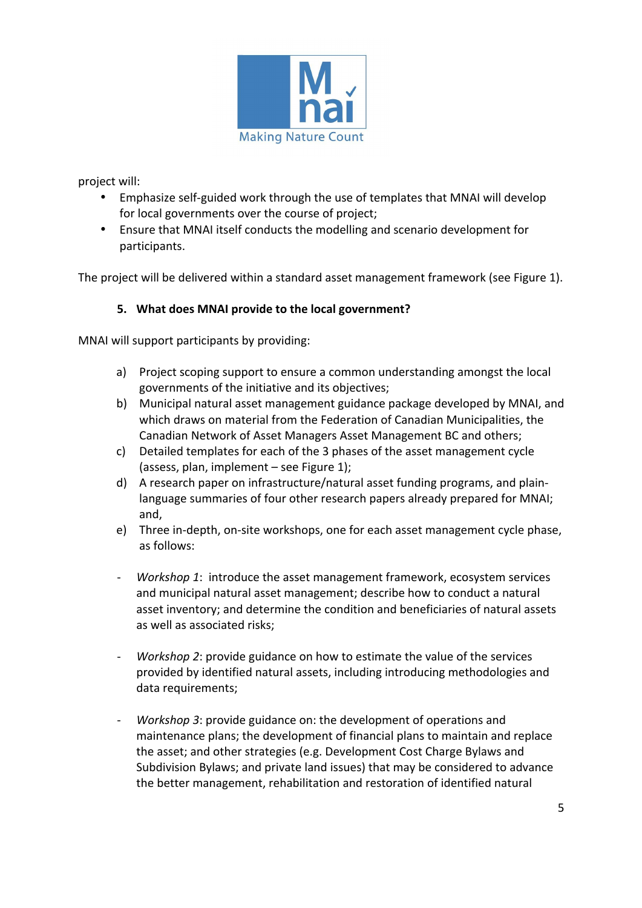

project will:

- Emphasize self-guided work through the use of templates that MNAI will develop for local governments over the course of project;
- Ensure that MNAI itself conducts the modelling and scenario development for participants.

The project will be delivered within a standard asset management framework (see Figure 1).

#### **5.** What does MNAI provide to the local government?

MNAI will support participants by providing:

- a) Project scoping support to ensure a common understanding amongst the local governments of the initiative and its objectives;
- b) Municipal natural asset management guidance package developed by MNAI, and which draws on material from the Federation of Canadian Municipalities, the Canadian Network of Asset Managers Asset Management BC and others;
- c) Detailed templates for each of the 3 phases of the asset management cycle (assess, plan, implement – see Figure 1);
- d) A research paper on infrastructure/natural asset funding programs, and plainlanguage summaries of four other research papers already prepared for MNAI; and,
- e) Three in-depth, on-site workshops, one for each asset management cycle phase, as follows:
- *Workshop 1*: introduce the asset management framework, ecosystem services and municipal natural asset management; describe how to conduct a natural asset inventory; and determine the condition and beneficiaries of natural assets as well as associated risks;
- *Workshop* 2: provide guidance on how to estimate the value of the services provided by identified natural assets, including introducing methodologies and data requirements;
- *Workshop* 3: provide guidance on: the development of operations and maintenance plans; the development of financial plans to maintain and replace the asset; and other strategies (e.g. Development Cost Charge Bylaws and Subdivision Bylaws; and private land issues) that may be considered to advance the better management, rehabilitation and restoration of identified natural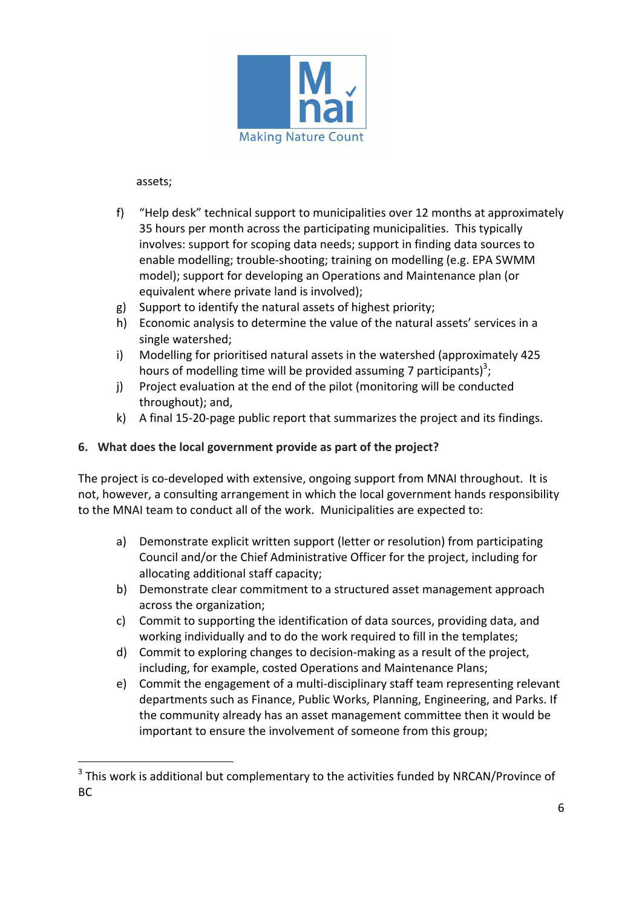

assets;

 

- f) "Help desk" technical support to municipalities over 12 months at approximately 35 hours per month across the participating municipalities. This typically involves: support for scoping data needs; support in finding data sources to enable modelling; trouble-shooting; training on modelling (e.g. EPA SWMM model); support for developing an Operations and Maintenance plan (or equivalent where private land is involved);
- $g$ ) Support to identify the natural assets of highest priority;
- h) Economic analysis to determine the value of the natural assets' services in a single watershed;
- i) Modelling for prioritised natural assets in the watershed (approximately 425 hours of modelling time will be provided assuming 7 participants)<sup>3</sup>;
- j) Project evaluation at the end of the pilot (monitoring will be conducted throughout); and,
- k) A final 15-20-page public report that summarizes the project and its findings.

# **6.** What does the local government provide as part of the project?

The project is co-developed with extensive, ongoing support from MNAI throughout. It is not, however, a consulting arrangement in which the local government hands responsibility to the MNAI team to conduct all of the work. Municipalities are expected to:

- a) Demonstrate explicit written support (letter or resolution) from participating Council and/or the Chief Administrative Officer for the project, including for allocating additional staff capacity;
- b) Demonstrate clear commitment to a structured asset management approach across the organization;
- c) Commit to supporting the identification of data sources, providing data, and working individually and to do the work required to fill in the templates;
- d) Commit to exploring changes to decision-making as a result of the project, including, for example, costed Operations and Maintenance Plans;
- e) Commit the engagement of a multi-disciplinary staff team representing relevant departments such as Finance, Public Works, Planning, Engineering, and Parks. If the community already has an asset management committee then it would be important to ensure the involvement of someone from this group;

 $3$  This work is additional but complementary to the activities funded by NRCAN/Province of BC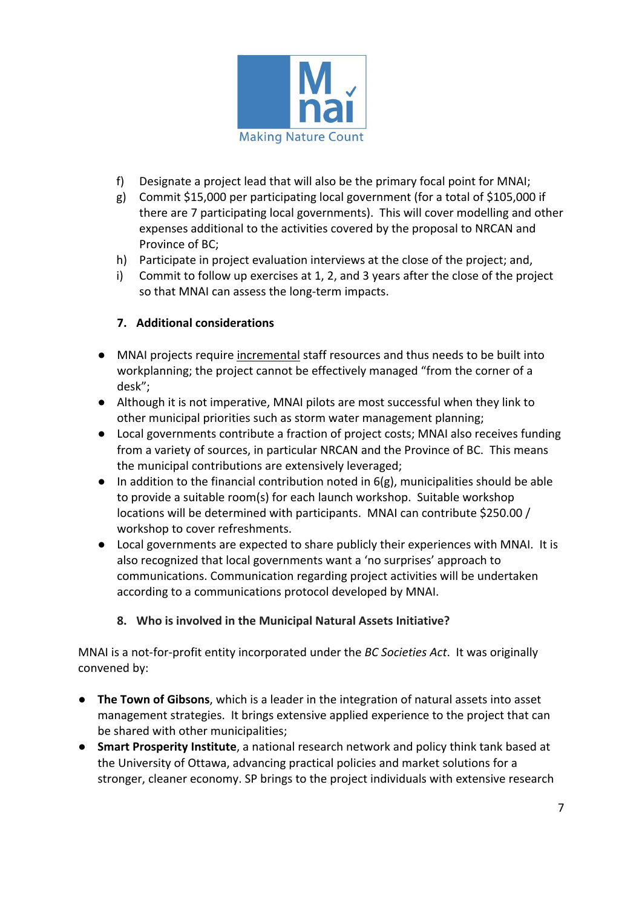

- f) Designate a project lead that will also be the primary focal point for MNAI;
- g) Commit \$15,000 per participating local government (for a total of \$105,000 if there are 7 participating local governments). This will cover modelling and other expenses additional to the activities covered by the proposal to NRCAN and Province of BC:
- h) Participate in project evaluation interviews at the close of the project; and,
- $i)$  Commit to follow up exercises at 1, 2, and 3 years after the close of the project so that MNAI can assess the long-term impacts.

# **7. Additional considerations**

- MNAI projects require incremental staff resources and thus needs to be built into workplanning; the project cannot be effectively managed "from the corner of a desk";
- Although it is not imperative, MNAI pilots are most successful when they link to other municipal priorities such as storm water management planning;
- Local governments contribute a fraction of project costs; MNAI also receives funding from a variety of sources, in particular NRCAN and the Province of BC. This means the municipal contributions are extensively leveraged;
- $\bullet$  In addition to the financial contribution noted in 6(g), municipalities should be able to provide a suitable room(s) for each launch workshop. Suitable workshop locations will be determined with participants. MNAI can contribute \$250.00 / workshop to cover refreshments.
- Local governments are expected to share publicly their experiences with MNAI. It is also recognized that local governments want a 'no surprises' approach to communications. Communication regarding project activities will be undertaken according to a communications protocol developed by MNAI.

# 8. Who is involved in the Municipal Natural Assets Initiative?

MNAI is a not-for-profit entity incorporated under the *BC Societies Act*. It was originally convened by:

- **The Town of Gibsons**, which is a leader in the integration of natural assets into asset management strategies. It brings extensive applied experience to the project that can be shared with other municipalities;
- **Smart Prosperity Institute**, a national research network and policy think tank based at the University of Ottawa, advancing practical policies and market solutions for a stronger, cleaner economy. SP brings to the project individuals with extensive research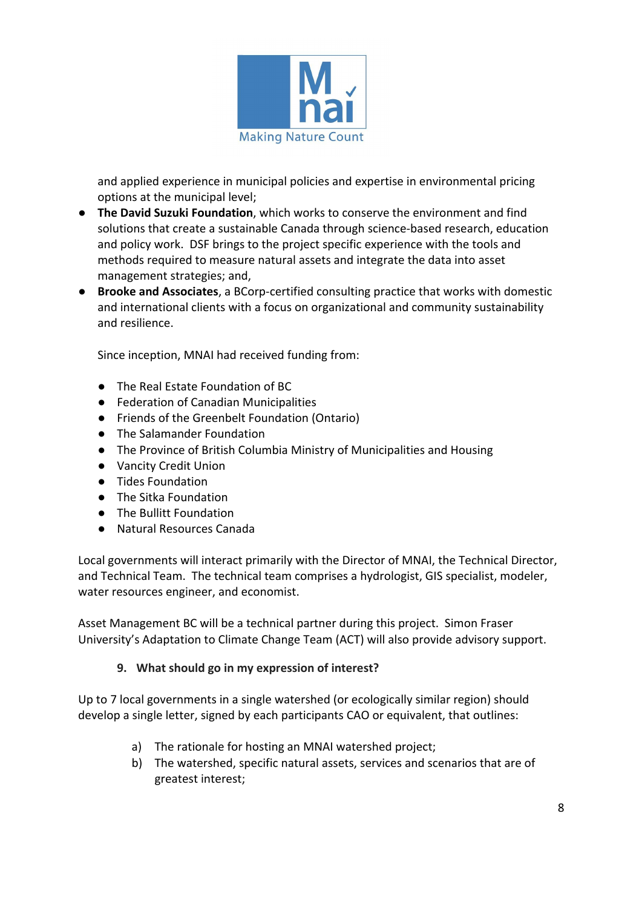

and applied experience in municipal policies and expertise in environmental pricing options at the municipal level;

- **The David Suzuki Foundation**, which works to conserve the environment and find solutions that create a sustainable Canada through science-based research, education and policy work. DSF brings to the project specific experience with the tools and methods required to measure natural assets and integrate the data into asset management strategies; and,
- **Brooke and Associates**, a BCorp-certified consulting practice that works with domestic and international clients with a focus on organizational and community sustainability and resilience.

Since inception, MNAI had received funding from:

- The Real Estate Foundation of BC
- Federation of Canadian Municipalities
- Friends of the Greenbelt Foundation (Ontario)
- The Salamander Foundation
- The Province of British Columbia Ministry of Municipalities and Housing
- Vancity Credit Union
- Tides Foundation
- The Sitka Foundation
- The Bullitt Foundation
- Natural Resources Canada

Local governments will interact primarily with the Director of MNAI, the Technical Director, and Technical Team. The technical team comprises a hydrologist, GIS specialist, modeler, water resources engineer, and economist.

Asset Management BC will be a technical partner during this project. Simon Fraser University's Adaptation to Climate Change Team (ACT) will also provide advisory support.

#### **9.** What should go in my expression of interest?

Up to 7 local governments in a single watershed (or ecologically similar region) should develop a single letter, signed by each participants CAO or equivalent, that outlines:

- a) The rationale for hosting an MNAI watershed project;
- b) The watershed, specific natural assets, services and scenarios that are of greatest interest;